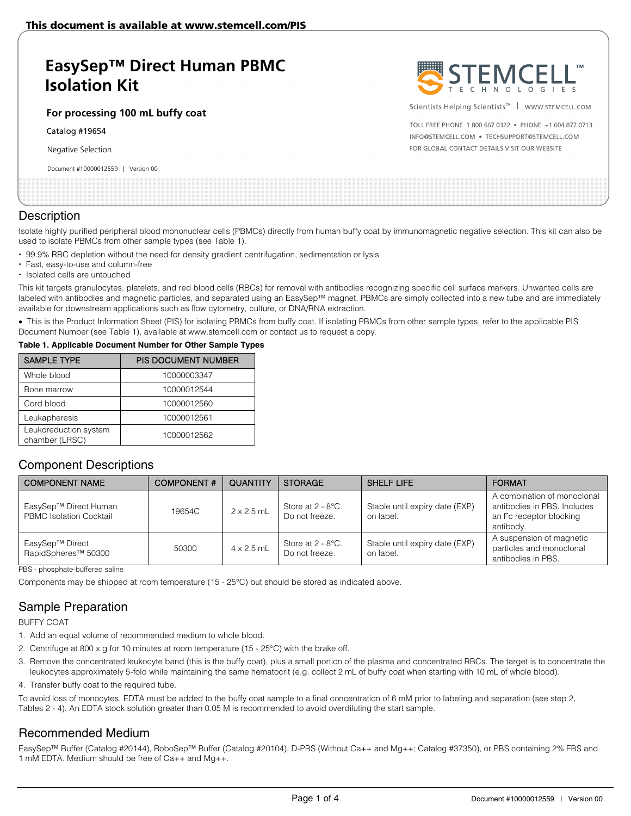# **EasySep™ Direct Human PBMC Isolation Kit**

### **For processing 100 mL buffy coat**

Catalog #19654

Negative Selection

#### Document #10000012559 | Version 00



Scientists Helping Scientists™ | WWW.STEMCELL.COM

TOLL FREE PHONE 1 800 667 0322 . PHONE +1 604 877 0713 INFO@STEMCELL.COM . TECHSUPPORT@STEMCELL.COM FOR GLOBAL CONTACT DETAILS VISIT OUR WEBSITE

|  | pocarient in 199999 (ESSS)   Version 09 |  |  |  |  |  |  |  |  |  |  |  |  |
|--|-----------------------------------------|--|--|--|--|--|--|--|--|--|--|--|--|
|  |                                         |  |  |  |  |  |  |  |  |  |  |  |  |
|  |                                         |  |  |  |  |  |  |  |  |  |  |  |  |
|  |                                         |  |  |  |  |  |  |  |  |  |  |  |  |
|  |                                         |  |  |  |  |  |  |  |  |  |  |  |  |
|  |                                         |  |  |  |  |  |  |  |  |  |  |  |  |
|  |                                         |  |  |  |  |  |  |  |  |  |  |  |  |
|  |                                         |  |  |  |  |  |  |  |  |  |  |  |  |
|  |                                         |  |  |  |  |  |  |  |  |  |  |  |  |
|  |                                         |  |  |  |  |  |  |  |  |  |  |  |  |

### **Description**

Isolate highly purified peripheral blood mononuclear cells (PBMCs) directly from human buffy coat by immunomagnetic negative selection. This kit can also be used to isolate PBMCs from other sample types (see Table 1).

- 99.9% RBC depletion without the need for density gradient centrifugation, sedimentation or lysis
- Fast, easy-to-use and column-free
- Isolated cells are untouched

This kit targets granulocytes, platelets, and red blood cells (RBCs) for removal with antibodies recognizing specific cell surface markers. Unwanted cells are labeled with antibodies and magnetic particles, and separated using an EasySep™ magnet. PBMCs are simply collected into a new tube and are immediately available for downstream applications such as flow cytometry, culture, or DNA/RNA extraction.

• This is the Product Information Sheet (PIS) for isolating PBMCs from buffy coat. If isolating PBMCs from other sample types, refer to the applicable PIS Document Number (see Table 1), available at www.stemcell.com or contact us to request a copy.

#### **Table 1. Applicable Document Number for Other Sample Types**

| <b>SAMPLE TYPE</b>                      | <b>PIS DOCUMENT NUMBER</b> |
|-----------------------------------------|----------------------------|
| Whole blood                             | 10000003347                |
| Bone marrow                             | 10000012544                |
| Cord blood                              | 10000012560                |
| Leukapheresis                           | 10000012561                |
| Leukoreduction system<br>chamber (LRSC) | 10000012562                |

### Component Descriptions

| <b>COMPONENT NAME</b>                                   | <b>COMPONENT#</b> | QUANTITY          | <b>STORAGE</b>                                     | <b>SHELF LIFE</b>                           | <b>FORMAT</b>                                                                                      |
|---------------------------------------------------------|-------------------|-------------------|----------------------------------------------------|---------------------------------------------|----------------------------------------------------------------------------------------------------|
| EasySep™ Direct Human<br><b>PBMC Isolation Cocktail</b> | 19654C            | $2 \times 2.5$ mL | Store at $2 - 8$ °C.<br>Do not freeze.             | Stable until expiry date (EXP)<br>on label. | A combination of monoclonal<br>antibodies in PBS. Includes<br>an Fc receptor blocking<br>antibody. |
| EasySep™ Direct<br>RapidSpheres <sup>™</sup> 50300      | 50300             | $4 \times 2.5$ mL | Store at $2 - 8$ <sup>o</sup> C.<br>Do not freeze. | Stable until expiry date (EXP)<br>on label. | A suspension of magnetic<br>particles and monoclonal<br>antibodies in PBS.                         |

PBS - phosphate-buffered saline

Components may be shipped at room temperature (15 - 25°C) but should be stored as indicated above.

# Sample Preparation

BUFFY COAT

- 1. Add an equal volume of recommended medium to whole blood.
- 2. Centrifuge at 800 x g for 10 minutes at room temperature (15 25°C) with the brake off.
- 3. Remove the concentrated leukocyte band (this is the buffy coat), plus a small portion of the plasma and concentrated RBCs. The target is to concentrate the leukocytes approximately 5-fold while maintaining the same hematocrit (e.g. collect 2 mL of buffy coat when starting with 10 mL of whole blood).
- 4. Transfer buffy coat to the required tube.

To avoid loss of monocytes, EDTA must be added to the buffy coat sample to a final concentration of 6 mM prior to labeling and separation (see step 2, Tables 2 - 4). An EDTA stock solution greater than 0.05 M is recommended to avoid overdiluting the start sample.

### Recommended Medium

EasySep™ Buffer (Catalog #20144), RoboSep™ Buffer (Catalog #20104), D-PBS (Without Ca++ and Mg++; Catalog #37350), or PBS containing 2% FBS and 1 mM EDTA. Medium should be free of Ca++ and Mg++.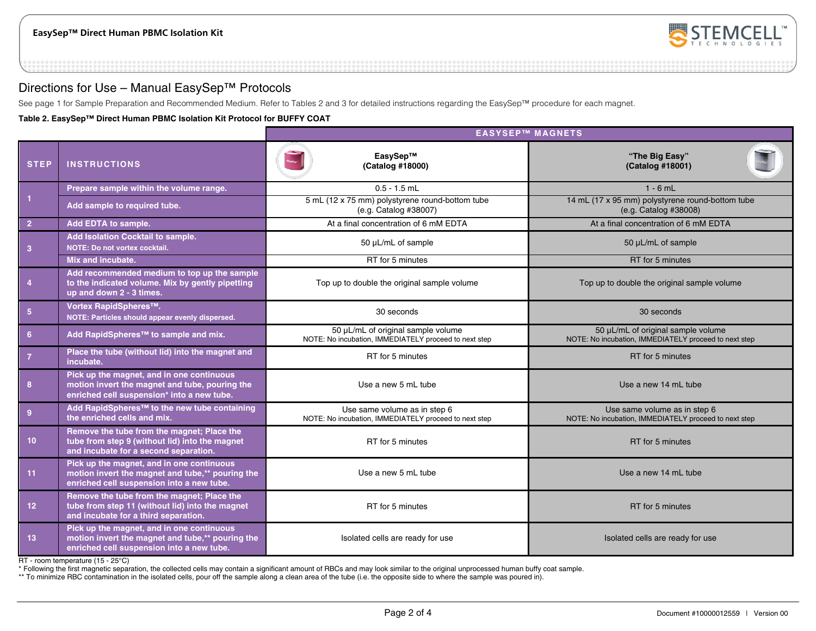

### Directions for Use – Manual EasySep™ Protocols

See page 1 for Sample Preparation and Recommended Medium. Refer to Tables 2 and 3 for detailed instructions regarding the EasySep™ procedure for each magnet.

**Table 2. EasySep™ Direct Human PBMC Isolation Kit Protocol for BUFFY COAT**

|                         |                                                                                                                                            | <b>EASYSEP™ MAGNETS</b>                                                                     |                                                                                             |  |  |  |  |  |
|-------------------------|--------------------------------------------------------------------------------------------------------------------------------------------|---------------------------------------------------------------------------------------------|---------------------------------------------------------------------------------------------|--|--|--|--|--|
| <b>STEP</b>             | <b>INSTRUCTIONS</b>                                                                                                                        | EasySep™<br>(Catalog #18000)                                                                | "The Big Easy"<br>(Catalog #18001)                                                          |  |  |  |  |  |
|                         | Prepare sample within the volume range.                                                                                                    | $0.5 - 1.5$ mL                                                                              | $1 - 6$ mL                                                                                  |  |  |  |  |  |
| $\overline{1}$          | Add sample to required tube.                                                                                                               | 5 mL (12 x 75 mm) polystyrene round-bottom tube<br>(e.g. Catalog #38007)                    | 14 mL (17 x 95 mm) polystyrene round-bottom tube<br>(e.g. Catalog #38008)                   |  |  |  |  |  |
| $\overline{2}$          | Add EDTA to sample.                                                                                                                        | At a final concentration of 6 mM EDTA                                                       | At a final concentration of 6 mM EDTA                                                       |  |  |  |  |  |
| $\overline{\mathbf{3}}$ | Add Isolation Cocktail to sample.<br>NOTE: Do not vortex cocktail.                                                                         | 50 µL/mL of sample                                                                          | 50 µL/mL of sample                                                                          |  |  |  |  |  |
|                         | Mix and incubate.                                                                                                                          | RT for 5 minutes                                                                            | RT for 5 minutes                                                                            |  |  |  |  |  |
| $\overline{4}$          | Add recommended medium to top up the sample<br>to the indicated volume. Mix by gently pipetting<br>up and down 2 - 3 times.                | Top up to double the original sample volume                                                 | Top up to double the original sample volume                                                 |  |  |  |  |  |
| $\sqrt{5}$              | Vortex RapidSpheres™.<br>NOTE: Particles should appear evenly dispersed.                                                                   | 30 seconds                                                                                  | 30 seconds                                                                                  |  |  |  |  |  |
| 6                       | Add RapidSpheres <sup>™</sup> to sample and mix.                                                                                           | 50 µL/mL of original sample volume<br>NOTE: No incubation, IMMEDIATELY proceed to next step | 50 µL/mL of original sample volume<br>NOTE: No incubation, IMMEDIATELY proceed to next step |  |  |  |  |  |
| $\overline{7}$          | Place the tube (without lid) into the magnet and<br>incubate.                                                                              | RT for 5 minutes                                                                            | RT for 5 minutes                                                                            |  |  |  |  |  |
| 8                       | Pick up the magnet, and in one continuous<br>motion invert the magnet and tube, pouring the<br>enriched cell suspension* into a new tube.  | Use a new 5 mL tube                                                                         | Use a new 14 mL tube                                                                        |  |  |  |  |  |
| 9                       | Add RapidSpheres™ to the new tube containing<br>the enriched cells and mix.                                                                | Use same volume as in step 6<br>NOTE: No incubation, IMMEDIATELY proceed to next step       | Use same volume as in step 6<br>NOTE: No incubation, IMMEDIATELY proceed to next step       |  |  |  |  |  |
| 10 <sup>°</sup>         | Remove the tube from the magnet; Place the<br>tube from step 9 (without lid) into the magnet<br>and incubate for a second separation.      | RT for 5 minutes                                                                            | RT for 5 minutes                                                                            |  |  |  |  |  |
| 11                      | Pick up the magnet, and in one continuous<br>motion invert the magnet and tube,** pouring the<br>enriched cell suspension into a new tube. | Use a new 5 mL tube                                                                         | Use a new 14 mL tube                                                                        |  |  |  |  |  |
| 12                      | Remove the tube from the magnet; Place the<br>tube from step 11 (without lid) into the magnet<br>and incubate for a third separation.      | RT for 5 minutes                                                                            | RT for 5 minutes                                                                            |  |  |  |  |  |
| 13                      | Pick up the magnet, and in one continuous<br>motion invert the magnet and tube,** pouring the<br>enriched cell suspension into a new tube. | Isolated cells are ready for use                                                            | Isolated cells are ready for use                                                            |  |  |  |  |  |

RT - room temperature (15 - 25°C)

\* Following the first magnetic separation, the collected cells may contain a significant amount of RBCs and may look similar to the original unprocessed human buffy coat sample.

\*\* To minimize RBC contamination in the isolated cells, pour off the sample along a clean area of the tube (i.e. the opposite side to where the sample was poured in).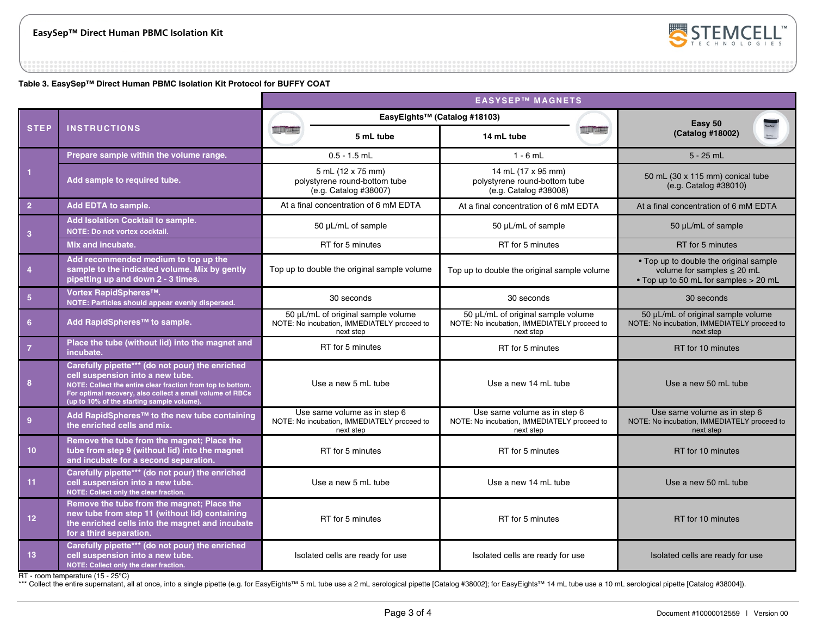

**Table 3. EasySep™ Direct Human PBMC Isolation Kit Protocol for BUFFY COAT**

|                  |                                                                                                                                                                                                                                                               | <b>EASYSEP™ MAGNETS</b>          |                                                                                                |                                                                                                |                    |                                                                                                                    |  |  |  |
|------------------|---------------------------------------------------------------------------------------------------------------------------------------------------------------------------------------------------------------------------------------------------------------|----------------------------------|------------------------------------------------------------------------------------------------|------------------------------------------------------------------------------------------------|--------------------|--------------------------------------------------------------------------------------------------------------------|--|--|--|
|                  |                                                                                                                                                                                                                                                               |                                  |                                                                                                | EasyEights™ (Catalog #18103)                                                                   |                    | Easy 50                                                                                                            |  |  |  |
| <b>STEP</b>      | <b>INSTRUCTIONS</b>                                                                                                                                                                                                                                           | <b>HILL please</b>               | 5 mL tube                                                                                      | 14 mL tube                                                                                     | <b>ANTE LIBRER</b> | (Catalog #18002)                                                                                                   |  |  |  |
|                  | Prepare sample within the volume range.                                                                                                                                                                                                                       |                                  | $0.5 - 1.5$ mL                                                                                 | $1 - 6$ mL                                                                                     |                    | $5 - 25$ mL                                                                                                        |  |  |  |
| $\vert$ 1        | Add sample to required tube.                                                                                                                                                                                                                                  |                                  | 5 mL (12 x 75 mm)<br>polystyrene round-bottom tube<br>(e.g. Catalog #38007)                    | 14 mL (17 x 95 mm)<br>polystyrene round-bottom tube<br>(e.g. Catalog #38008)                   |                    | 50 mL (30 x 115 mm) conical tube<br>(e.g. Catalog #38010)                                                          |  |  |  |
| $\overline{2}$   | Add EDTA to sample.                                                                                                                                                                                                                                           |                                  | At a final concentration of 6 mM EDTA                                                          | At a final concentration of 6 mM EDTA                                                          |                    | At a final concentration of 6 mM EDTA                                                                              |  |  |  |
| $\mathbf{3}$     | Add Isolation Cocktail to sample.<br>NOTE: Do not vortex cocktail.                                                                                                                                                                                            |                                  | 50 µL/mL of sample                                                                             | 50 µL/mL of sample                                                                             |                    | 50 µL/mL of sample                                                                                                 |  |  |  |
|                  | Mix and incubate.                                                                                                                                                                                                                                             |                                  | RT for 5 minutes                                                                               | RT for 5 minutes                                                                               |                    | RT for 5 minutes                                                                                                   |  |  |  |
| $\boldsymbol{4}$ | Add recommended medium to top up the<br>sample to the indicated volume. Mix by gently<br>pipetting up and down 2 - 3 times.                                                                                                                                   |                                  | Top up to double the original sample volume                                                    | Top up to double the original sample volume                                                    |                    | • Top up to double the original sample<br>volume for samples $\leq$ 20 mL<br>. Top up to 50 mL for samples > 20 mL |  |  |  |
| 5 <sub>5</sub>   | Vortex RapidSpheres™.<br>NOTE: Particles should appear evenly dispersed.                                                                                                                                                                                      |                                  | 30 seconds                                                                                     | 30 seconds                                                                                     |                    | 30 seconds                                                                                                         |  |  |  |
| 6 <sup>5</sup>   | Add RapidSpheres™ to sample.                                                                                                                                                                                                                                  |                                  | 50 µL/mL of original sample volume<br>NOTE: No incubation, IMMEDIATELY proceed to<br>next step | 50 µL/mL of original sample volume<br>NOTE: No incubation, IMMEDIATELY proceed to<br>next step |                    | 50 µL/mL of original sample volume<br>NOTE: No incubation, IMMEDIATELY proceed to<br>next step                     |  |  |  |
| $\overline{7}$   | Place the tube (without lid) into the magnet and<br>incubate.                                                                                                                                                                                                 |                                  | RT for 5 minutes                                                                               | RT for 5 minutes                                                                               |                    | RT for 10 minutes                                                                                                  |  |  |  |
| 8                | Carefully pipette*** (do not pour) the enriched<br>cell suspension into a new tube.<br>NOTE: Collect the entire clear fraction from top to bottom.<br>For optimal recovery, also collect a small volume of RBCs<br>(up to 10% of the starting sample volume). |                                  | Use a new 5 mL tube                                                                            | Use a new 14 mL tube                                                                           |                    | Use a new 50 mL tube                                                                                               |  |  |  |
| 9                | Add RapidSpheres™ to the new tube containing<br>the enriched cells and mix.                                                                                                                                                                                   |                                  | Use same volume as in step 6<br>NOTE: No incubation, IMMEDIATELY proceed to<br>next step       | Use same volume as in step 6<br>NOTE: No incubation, IMMEDIATELY proceed to<br>next step       |                    | Use same volume as in step 6<br>NOTE: No incubation, IMMEDIATELY proceed to<br>next step                           |  |  |  |
| 10 <sub>1</sub>  | Remove the tube from the magnet; Place the<br>tube from step 9 (without lid) into the magnet<br>and incubate for a second separation.                                                                                                                         |                                  | RT for 5 minutes                                                                               | RT for 5 minutes                                                                               |                    | RT for 10 minutes                                                                                                  |  |  |  |
| 11               | Carefully pipette*** (do not pour) the enriched<br>cell suspension into a new tube.<br>NOTE: Collect only the clear fraction.                                                                                                                                 |                                  | Use a new 5 mL tube                                                                            | Use a new 14 mL tube                                                                           |                    | Use a new 50 mL tube                                                                                               |  |  |  |
| 12 <sub>2</sub>  | Remove the tube from the magnet; Place the<br>new tube from step 11 (without lid) containing<br>the enriched cells into the magnet and incubate<br>for a third separation.                                                                                    | RT for 5 minutes                 |                                                                                                | RT for 5 minutes                                                                               |                    | RT for 10 minutes                                                                                                  |  |  |  |
| 13               | Carefully pipette*** (do not pour) the enriched<br>cell suspension into a new tube.<br>NOTE: Collect only the clear fraction.                                                                                                                                 | Isolated cells are ready for use |                                                                                                | Isolated cells are ready for use                                                               |                    | Isolated cells are ready for use                                                                                   |  |  |  |

RT - room temperature (15 - 25°C)

\*\*\* Collect the entire supernatant, all at once, into a single pipette (e.g. for EasyEights™ 5 mL tube use a 2 mL serological pipette [Catalog #38002]; for EasyEights™ 14 mL tube use a 10 mL serological pipette [Catalog #3